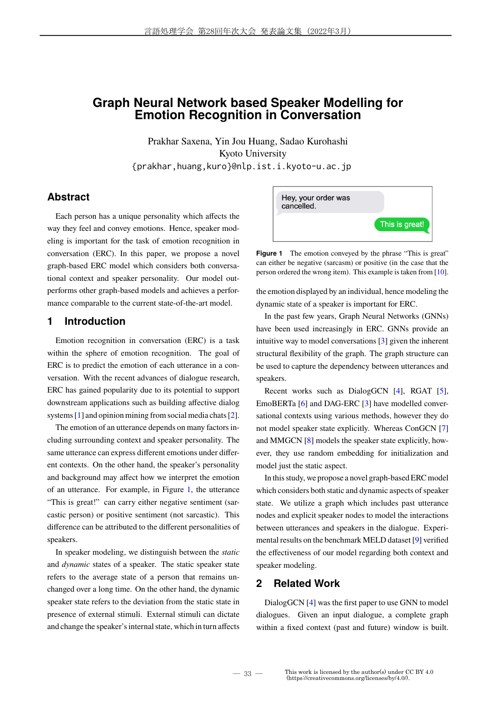# **Graph Neural Network based Speaker Modelling for Emotion Recognition in Conversation**

Prakhar Saxena, Yin Jou Huang, Sadao Kurohashi Kyoto University {prakhar,huang,kuro}@nlp.ist.i.kyoto-u.ac.jp

# **Abstract**

Each person has a unique personality which affects the way they feel and convey emotions. Hence, speaker modeling is important for the task of emotion recognition in conversation (ERC). In this paper, we propose a novel graph-based ERC model which considers both conversational context and speaker personality. Our model outperforms other graph-based models and achieves a performance comparable to the current state-of-the-art model.

### **1 Introduction**

Emotion recognition in conversation (ERC) is a task within the sphere of emotion recognition. The goal of ERC is to predict the emotion of each utterance in a conversation. With the recent advances of dialogue research, ERC has gained popularity due to its potential to support downstream applications such as building affective dialog systems [1] and opinion mining from social media chats [2].

The emotion of an utterance depends on many factors including surrounding context and speaker personality. The same utterance can express different emotions under different contexts. On the other hand, the speaker's personality and background may affect how we interpret the emotion of an utterance. For example, in Figure 1, the utterance "This is great!" can carry either negative sentiment (sarcastic person) or positive sentiment (not sarcastic). This difference can be attributed to the different personalities of speakers.

In speaker modeling, we distinguish between the *static* and *dynamic* states of a speaker. The static speaker state refers to the average state of a person that remains unchanged over a long time. On the other hand, the dynamic speaker state refers to the deviation from the static state in presence of external stimuli. External stimuli can dictate and change the speaker's internal state, which in turn affects



Figure 1 The emotion conveyed by the phrase "This is great" can either be negative (sarcasm) or positive (in the case that the person ordered the wrong item). This example is taken from [10].

the emotion displayed by an individual, hence modeling the dynamic state of a speaker is important for ERC.

In the past few years, Graph Neural Networks (GNNs) have been used increasingly in ERC. GNNs provide an intuitive way to model conversations [3] given the inherent structural flexibility of the graph. The graph structure can be used to capture the dependency between utterances and speakers.

Recent works such as DialogGCN [4], RGAT [5], EmoBERTa [6] and DAG-ERC [3] have modelled conversational contexts using various methods, however they do not model speaker state explicitly. Whereas ConGCN [7] and MMGCN [8] models the speaker state explicitly, however, they use random embedding for initialization and model just the static aspect.

In this study, we propose a novel graph-based ERC model which considers both static and dynamic aspects of speaker state. We utilize a graph which includes past utterance nodes and explicit speaker nodes to model the interactions between utterances and speakers in the dialogue. Experimental results on the benchmark MELD dataset [9] verified the effectiveness of our model regarding both context and speaker modeling.

# **2 Related Work**

DialogGCN [4] was the first paper to use GNN to model dialogues. Given an input dialogue, a complete graph within a fixed context (past and future) window is built.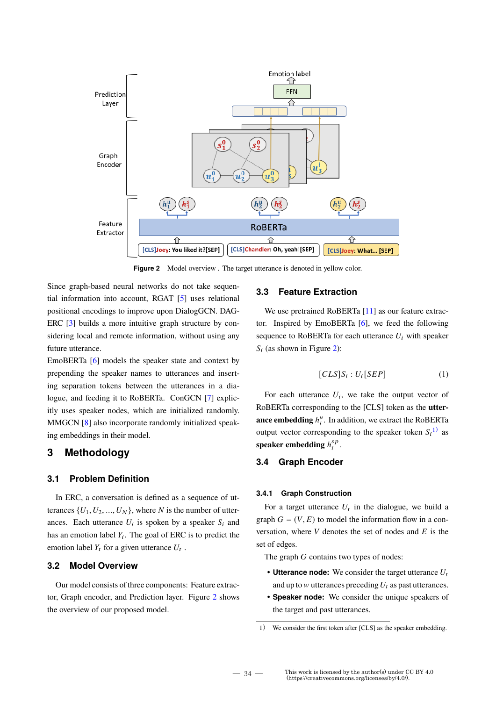

Figure 2 Model overview . The target utterance is denoted in yellow color.

Since graph-based neural networks do not take sequential information into account, RGAT [5] uses relational positional encodings to improve upon DialogGCN. DAG-ERC [3] builds a more intuitive graph structure by considering local and remote information, without using any future utterance.

EmoBERTa [6] models the speaker state and context by prepending the speaker names to utterances and inserting separation tokens between the utterances in a dialogue, and feeding it to RoBERTa. ConGCN [7] explicitly uses speaker nodes, which are initialized randomly. MMGCN [8] also incorporate randomly initialized speaking embeddings in their model.

# **3 Methodology**

#### **3.1 Problem Definition**

In ERC, a conversation is defined as a sequence of utterances  $\{U_1, U_2, ..., U_N\}$ , where N is the number of utterances. Each utterance  $U_i$  is spoken by a speaker  $S_i$  and has an emotion label  $Y_i$ . The goal of ERC is to predict the emotion label  $Y_t$  for a given utterance  $U_t$ .

#### **3.2 Model Overview**

Our model consists of three components: Feature extractor, Graph encoder, and Prediction layer. Figure 2 shows the overview of our proposed model.

#### **3.3 Feature Extraction**

We use pretrained RoBERTa [11] as our feature extractor. Inspired by EmoBERTa [6], we feed the following sequence to RoBERTa for each utterance  $U_i$  with speaker  $S_i$  (as shown in Figure 2):

$$
[CLS]S_i : U_i[SEP]
$$
 (1)

For each utterance  $U_i$ , we take the output vector of RoBERTa corresponding to the [CLS] token as the **utterance embedding**  $h_i^u$ . In addition, we extract the RoBERTa output vector corresponding to the speaker token  $S_i^{(1)}$  as **speaker embedding**  $h_i^{sp}$  $\frac{sp}{i}$ .

### **3.4 Graph Encoder**

#### **3.4.1 Graph Construction**

For a target utterance  $U_t$  in the dialogue, we build a graph  $G = (V, E)$  to model the information flow in a conversation, where  $V$  denotes the set of nodes and  $E$  is the set of edges.

The graph  $G$  contains two types of nodes:

- **Utterance node:** We consider the target utterance  $U_t$ and up to  $w$  utterances preceding  $U_t$  as past utterances.
- **Speaker node:** We consider the unique speakers of the target and past utterances.

<sup>1</sup>) We consider the first token after [CLS] as the speaker embedding.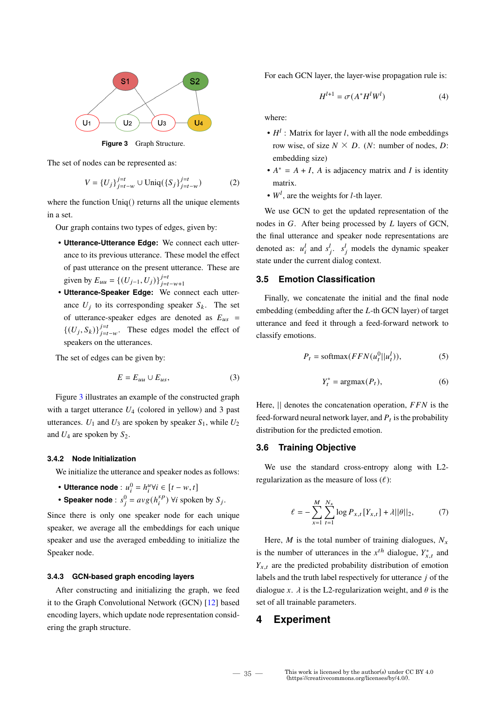

**Figure 3** Graph Structure.

The set of nodes can be represented as:

$$
V = \{U_j\}_{j=t-w}^{j=t} \cup \text{Uniq}(\{S_j\}_{j=t-w}^{j=t})
$$
 (2)

where the function Uniq() returns all the unique elements in a set.

Our graph contains two types of edges, given by:

- **Utterance-Utterance Edge:** We connect each utterance to its previous utterance. These model the effect of past utterance on the present utterance. These are given by  $E_{uu} = \{(U_{j-1}, U_j)\}_{j=t-w+1}^{j=t}$
- **Utterance-Speaker Edge:** We connect each utterance  $U_j$  to its corresponding speaker  $S_k$ . The set of utterance-speaker edges are denoted as  $E_{us}$  =  $\{(U_j, S_k)\}_{j=t-w}^{j=t}$ . These edges model the effect of speakers on the utterances.

The set of edges can be given by:

$$
E = E_{uu} \cup E_{us},\tag{3}
$$

Figure 3 illustrates an example of the constructed graph with a target utterance  $U_4$  (colored in yellow) and 3 past utterances.  $U_1$  and  $U_3$  are spoken by speaker  $S_1$ , while  $U_2$ and  $U_4$  are spoken by  $S_2$ .

#### **3.4.2 Node Initialization**

We initialize the utterance and speaker nodes as follows:

- Utterance node :  $u_i^0 = h_i^u \forall i \in [t w, t]$
- Speaker node :  $s_j^0 = avg(h_i^{sp})$  $s_P^{sp}$ )  $\forall i$  spoken by  $S_j$ .

Since there is only one speaker node for each unique speaker, we average all the embeddings for each unique speaker and use the averaged embedding to initialize the Speaker node.

#### **3.4.3 GCN-based graph encoding layers**

After constructing and initializing the graph, we feed it to the Graph Convolutional Network (GCN) [12] based encoding layers, which update node representation considering the graph structure.

For each GCN layer, the layer-wise propagation rule is:

$$
H^{l+1} = \sigma(A^*H^lW^l) \tag{4}
$$

where:

- $\bullet$   $H^l$  : Matrix for layer l, with all the node embeddings row wise, of size  $N \times D$ . (*N*: number of nodes, *D*: embedding size)
- $A^* = A + I$ , A is adjacency matrix and I is identity matrix.
- $W<sup>l</sup>$ , are the weights for *l*-th layer.

We use GCN to get the updated representation of the nodes in  $G$ . After being processed by  $L$  layers of GCN, the final utterance and speaker node representations are denoted as:  $u_i^l$  and  $s_j^l$ .  $s_j^l$  models the dynamic speaker state under the current dialog context.

### **3.5 Emotion Classification**

Finally, we concatenate the initial and the final node embedding (embedding after the  $L$ -th GCN layer) of target utterance and feed it through a feed-forward network to classify emotions.

$$
P_t = \text{softmax}(FFN(u_t^0||u_t^l)),\tag{5}
$$

$$
Y_t^* = \operatorname{argmax}(P_t),\tag{6}
$$

Here,  $\parallel$  denotes the concatenation operation,  $FFN$  is the feed-forward neural network layer, and  $P_t$  is the probability distribution for the predicted emotion.

#### **3.6 Training Objective**

We use the standard cross-entropy along with L2 regularization as the measure of loss  $(\ell)$ :

$$
\ell = -\sum_{x=1}^{M} \sum_{t=1}^{N_x} \log P_{x,t} [Y_{x,t}] + \lambda ||\theta||_2, \tag{7}
$$

Here, *M* is the total number of training dialogues,  $N_x$ is the number of utterances in the  $x^{th}$  dialogue,  $Y_{x,t}^*$  and  $Y_{x,t}$  are the predicted probability distribution of emotion labels and the truth label respectively for utterance  $j$  of the dialogue x.  $\lambda$  is the L2-regularization weight, and  $\theta$  is the set of all trainable parameters.

### **4 Experiment**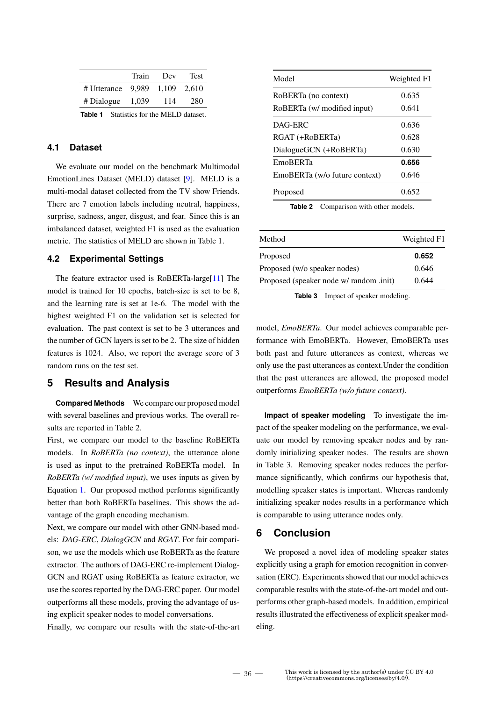|                                                 | Train | Dev   | <b>Test</b> |
|-------------------------------------------------|-------|-------|-------------|
| # Utterance 9.989 1.109 2.610                   |       |       |             |
| $\#$ Dialogue 1,039                             |       | - 114 | 280         |
| <b>Table 1</b> Statistics for the MELD dataset. |       |       |             |

### **4.1 Dataset**

We evaluate our model on the benchmark Multimodal EmotionLines Dataset (MELD) dataset [9]. MELD is a multi-modal dataset collected from the TV show Friends. There are 7 emotion labels including neutral, happiness, surprise, sadness, anger, disgust, and fear. Since this is an imbalanced dataset, weighted F1 is used as the evaluation metric. The statistics of MELD are shown in Table 1.

#### **4.2 Experimental Settings**

The feature extractor used is RoBERTa-large[11] The model is trained for 10 epochs, batch-size is set to be 8, and the learning rate is set at 1e-6. The model with the highest weighted F1 on the validation set is selected for evaluation. The past context is set to be 3 utterances and the number of GCN layers is set to be 2. The size of hidden features is 1024. Also, we report the average score of 3 random runs on the test set.

### **5 Results and Analysis**

**Compared Methods** We compare our proposed model with several baselines and previous works. The overall results are reported in Table 2.

First, we compare our model to the baseline RoBERTa models. In *RoBERTa (no context)*, the utterance alone is used as input to the pretrained RoBERTa model. In *RoBERTa (w/ modified input)*, we uses inputs as given by Equation 1. Our proposed method performs significantly better than both RoBERTa baselines. This shows the advantage of the graph encoding mechanism.

Next, we compare our model with other GNN-based models: *DAG-ERC*, *DialogGCN* and *RGAT*. For fair comparison, we use the models which use RoBERTa as the feature extractor. The authors of DAG-ERC re-implement Dialog-GCN and RGAT using RoBERTa as feature extractor, we use the scores reported by the DAG-ERC paper. Our model outperforms all these models, proving the advantage of using explicit speaker nodes to model conversations.

Finally, we compare our results with the state-of-the-art

| Model                         | Weighted F1 |
|-------------------------------|-------------|
| RoBERTa (no context)          | 0.635       |
| RoBERTa (w/ modified input)   | 0.641       |
| DAG-ERC                       | 0.636       |
| RGAT (+RoBERTa)               | 0.628       |
| DialogueGCN (+RoBERTa)        | 0.630       |
| <b>EmoBERTa</b>               | 0.656       |
| EmoBERTa (w/o future context) | 0.646       |
| Proposed                      | 0.652       |

**Table 2** Comparison with other models.

| Method                                  | Weighted F1 |
|-----------------------------------------|-------------|
| Proposed                                | 0.652       |
| Proposed (w/o speaker nodes)            | 0.646       |
| Proposed (speaker node w/ random .init) | 0.644       |

**Table 3** Impact of speaker modeling.

model, *EmoBERTa*. Our model achieves comparable performance with EmoBERTa. However, EmoBERTa uses both past and future utterances as context, whereas we only use the past utterances as context.Under the condition that the past utterances are allowed, the proposed model outperforms *EmoBERTa (w/o future context)*.

**Impact of speaker modeling** To investigate the impact of the speaker modeling on the performance, we evaluate our model by removing speaker nodes and by randomly initializing speaker nodes. The results are shown in Table 3. Removing speaker nodes reduces the performance significantly, which confirms our hypothesis that, modelling speaker states is important. Whereas randomly initializing speaker nodes results in a performance which is comparable to using utterance nodes only.

# **6 Conclusion**

We proposed a novel idea of modeling speaker states explicitly using a graph for emotion recognition in conversation (ERC). Experiments showed that our model achieves comparable results with the state-of-the-art model and outperforms other graph-based models. In addition, empirical results illustrated the effectiveness of explicit speaker modeling.